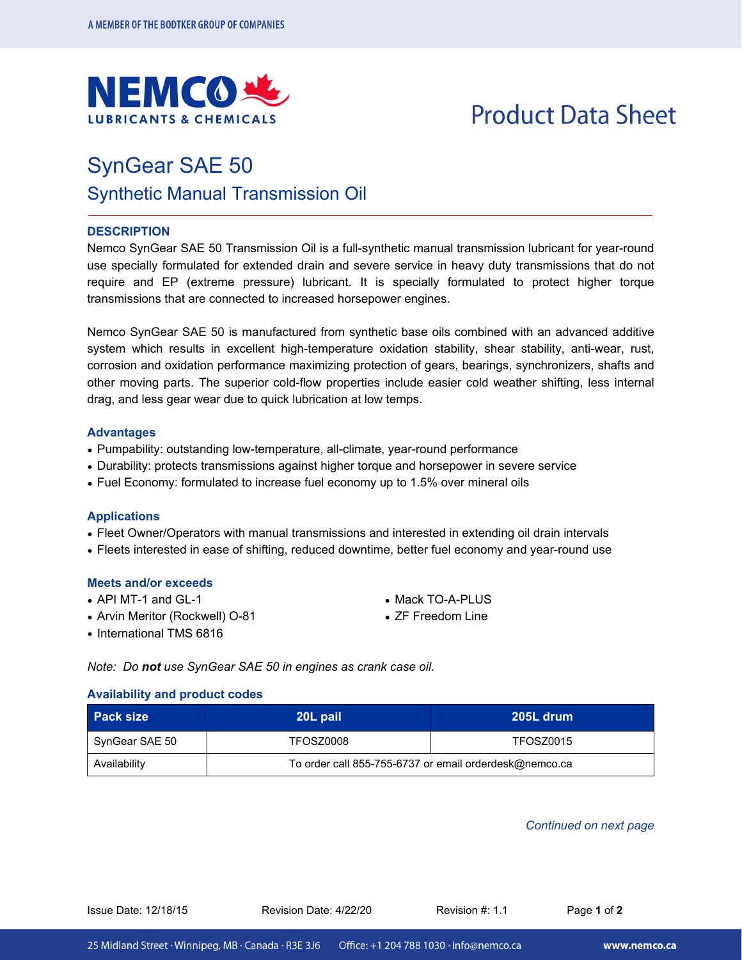

# **Product Data Sheet**

### SynGear SAE 50

### Synthetic Manual Transmission Oil

#### **DESCRIPTION**

Nemco SynGear SAE 50 Transmission Oil is a full-synthetic manual transmission lubricant for year-round use specially formulated for extended drain and severe service in heavy duty transmissions that do not require and EP (extreme pressure) lubricant. It is specially formulated to protect higher torque transmissions that are connected to increased horsepower engines.

Nemco SynGear SAE 50 is manufactured from synthetic base oils combined with an advanced additive system which results in excellent high-temperature oxidation stability, shear stability, anti-wear, rust, corrosion and oxidation performance maximizing protection of gears, bearings, synchronizers, shafts and other moving parts. The superior cold-flow properties include easier cold weather shifting, less internal drag, and less gear wear due to quick lubrication at low temps.

#### **Advantages**

- Pumpability: outstanding low-temperature, all-climate, year-round performance
- Durability: protects transmissions against higher torque and horsepower in severe service
- Fuel Economy: formulated to increase fuel economy up to 1.5% over mineral oils

#### **Applications**

- Fleet Owner/Operators with manual transmissions and interested in extending oil drain intervals
- Fleets interested in ease of shifting, reduced downtime, better fuel economy and year-round use

#### **Meets and/or exceeds**

- API MT-1 and GL-1
- Arvin Meritor (Rockwell) O-81
- International TMS 6816
- Mack TO-A-PLUS
- ZF Freedom Line

*Note: Do not use SynGear SAE 50 in engines as crank case oil.* 

#### **Availability and product codes**

| <b>Pack size</b> | 20L pail  | -205L drum                                             |  |  |
|------------------|-----------|--------------------------------------------------------|--|--|
| SynGear SAE 50   | TFOSZ0008 | TFOSZ0015                                              |  |  |
| Availability     |           | To order call 855-755-6737 or email orderdesk@nemco.ca |  |  |

*Continued on next page* 

Issue Date: 12/18/15 Revision Date: 4/22/20 Revision #: 1.1 Page **1** of **2**